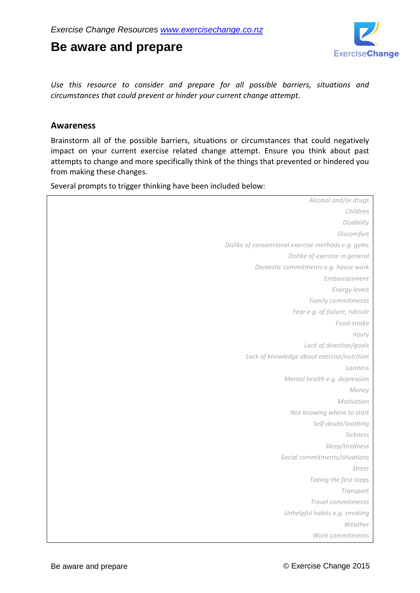# **Be aware and prepare**



*Use this resource to consider and prepare for all possible barriers, situations and circumstances that could prevent or hinder your current change attempt.*

### **Awareness**

Brainstorm all of the possible barriers, situations or circumstances that could negatively impact on your current exercise related change attempt. Ensure you think about past attempts to change and more specifically think of the things that prevented or hindered you from making these changes.

Several prompts to trigger thinking have been included below:

| Alcohol and/or drugs                               |
|----------------------------------------------------|
| Children                                           |
| Disability                                         |
| Discomfort                                         |
| Dislike of conventional exercise methods e.g. gyms |
| Dislike of exercise in general                     |
| Domestic commitments e.g. house work               |
| Embarrassment                                      |
| Energy levels                                      |
| Family commitments                                 |
| Fear e.g. of failure, ridicule                     |
| Food intake                                        |
| Injury                                             |
| Lack of direction/goals                            |
| Lack of knowledge about exercise/nutrition         |
| Laziness                                           |
| Mental health e.g. depression                      |
| Money                                              |
| Motivation                                         |
| Not knowing where to start                         |
| Self-doubt/loathing                                |
| Sickness                                           |
| Sleep/tiredness                                    |
| Social commitments/situations                      |
| <b>Stress</b>                                      |
| Taking the first steps                             |
| Transport                                          |
| Travel commitments                                 |
| Unhelpful habits e.g. smoking                      |
| Weather                                            |
| Work commitments                                   |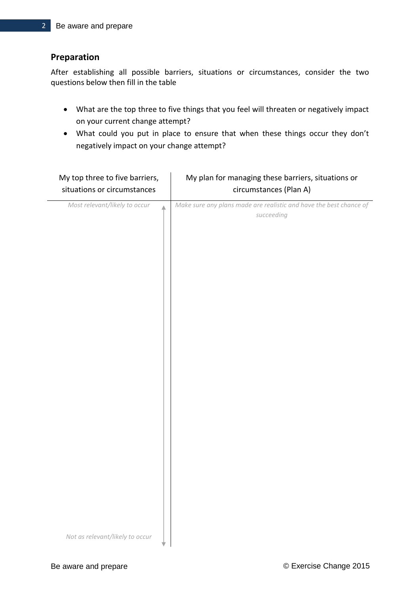## **Preparation**

After establishing all possible barriers, situations or circumstances, consider the two questions below then fill in the table

- What are the top three to five things that you feel will threaten or negatively impact on your current change attempt?
- What could you put in place to ensure that when these things occur they don't negatively impact on your change attempt?

| My top three to five barriers,  | My plan for managing these barriers, situations or                 |
|---------------------------------|--------------------------------------------------------------------|
| situations or circumstances     | circumstances (Plan A)                                             |
| Most relevant/likely to occur   | Make sure any plans made are realistic and have the best chance of |
| A                               | succeeding                                                         |
| Not as relevant/likely to occur |                                                                    |